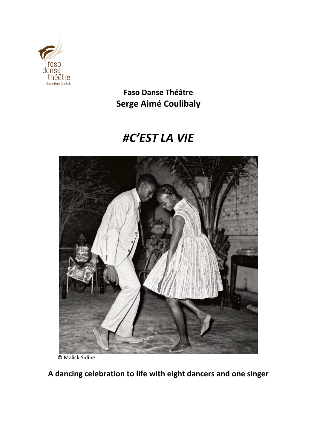

**Faso Danse Théâtre Serge Aimé Coulibaly**

## *#C'EST LA VIE*



© Malick Sidibé

**A dancing celebration to life with eight dancers and one singer**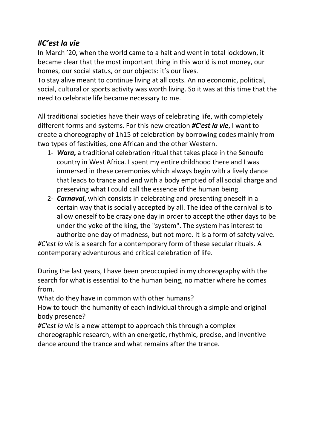## *#C'est la vie*

In March '20, when the world came to a halt and went in total lockdown, it became clear that the most important thing in this world is not money, our homes, our social status, or our objects: it's our lives.

To stay alive meant to continue living at all costs. An no economic, political, social, cultural or sports activity was worth living. So it was at this time that the need to celebrate life became necessary to me.

All traditional societies have their ways of celebrating life, with completely different forms and systems. For this new creation *#C'est la vie*, I want to create a choreography of 1h15 of celebration by borrowing codes mainly from two types of festivities, one African and the other Western.

- 1- *Wara,* a traditional celebration ritual that takes place in the Senoufo country in West Africa. I spent my entire childhood there and I was immersed in these ceremonies which always begin with a lively dance that leads to trance and end with a body emptied of all social charge and preserving what I could call the essence of the human being.
- 2- *Carnaval*, which consists in celebrating and presenting oneself in a certain way that is socially accepted by all. The idea of the carnival is to allow oneself to be crazy one day in order to accept the other days to be under the yoke of the king, the "system". The system has interest to authorize one day of madness, but not more. It is a form of safety valve.

*#C'est la vie* is a search for a contemporary form of these secular rituals. A contemporary adventurous and critical celebration of life.

During the last years, I have been preoccupied in my choreography with the search for what is essential to the human being, no matter where he comes from.

What do they have in common with other humans?

How to touch the humanity of each individual through a simple and original body presence?

*#C'est la vie* is a new attempt to approach this through a complex choreographic research, with an energetic, rhythmic, precise, and inventive dance around the trance and what remains after the trance.